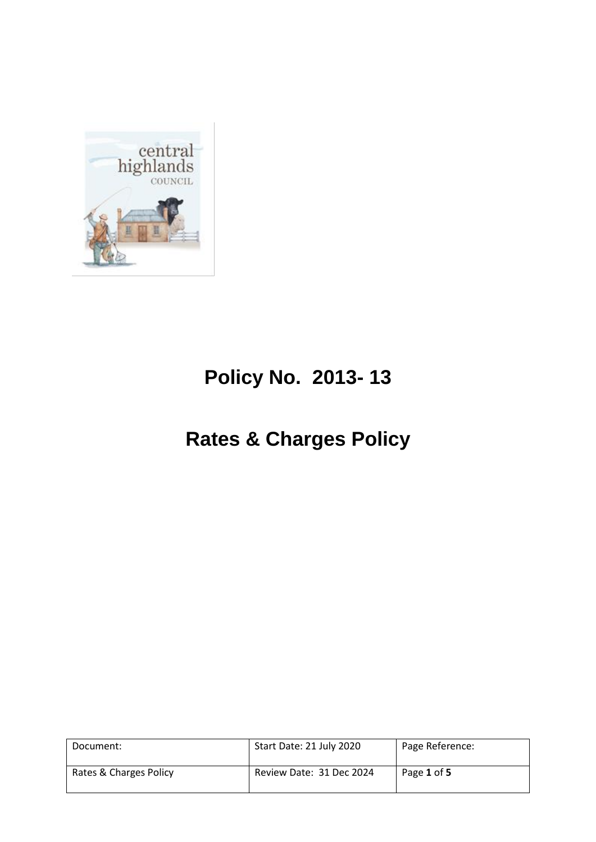

# **Policy No. 2013- 13**

# **Rates & Charges Policy**

| Document:              | Start Date: 21 July 2020 | Page Reference: |
|------------------------|--------------------------|-----------------|
| Rates & Charges Policy | Review Date: 31 Dec 2024 | Page 1 of 5     |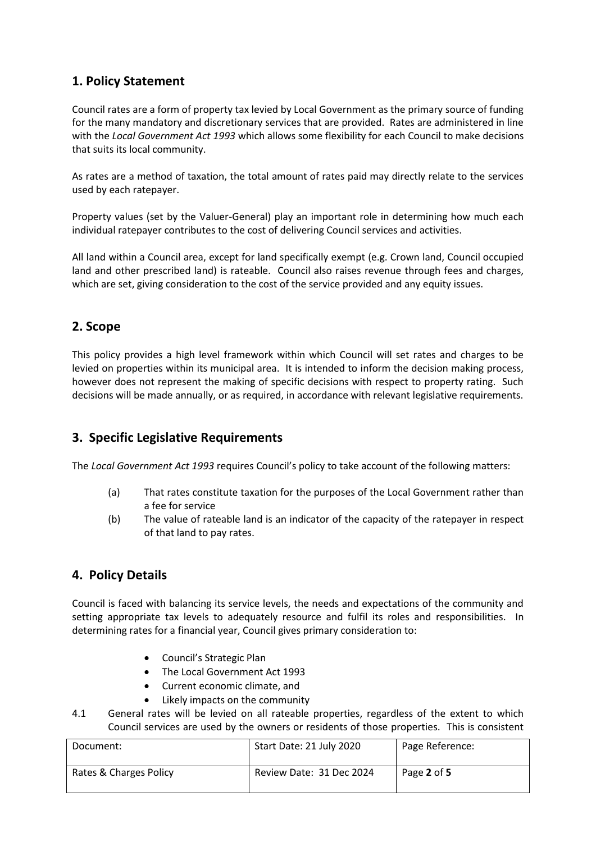## **1. Policy Statement**

Council rates are a form of property tax levied by Local Government as the primary source of funding for the many mandatory and discretionary services that are provided. Rates are administered in line with the *Local Government Act 1993* which allows some flexibility for each Council to make decisions that suits its local community.

As rates are a method of taxation, the total amount of rates paid may directly relate to the services used by each ratepayer.

Property values (set by the Valuer-General) play an important role in determining how much each individual ratepayer contributes to the cost of delivering Council services and activities.

All land within a Council area, except for land specifically exempt (e.g. Crown land, Council occupied land and other prescribed land) is rateable. Council also raises revenue through fees and charges, which are set, giving consideration to the cost of the service provided and any equity issues.

## **2. Scope**

This policy provides a high level framework within which Council will set rates and charges to be levied on properties within its municipal area. It is intended to inform the decision making process, however does not represent the making of specific decisions with respect to property rating. Such decisions will be made annually, or as required, in accordance with relevant legislative requirements.

## **3. Specific Legislative Requirements**

The *Local Government Act 1993* requires Council's policy to take account of the following matters:

- (a) That rates constitute taxation for the purposes of the Local Government rather than a fee for service
- (b) The value of rateable land is an indicator of the capacity of the ratepayer in respect of that land to pay rates.

## **4. Policy Details**

Council is faced with balancing its service levels, the needs and expectations of the community and setting appropriate tax levels to adequately resource and fulfil its roles and responsibilities. In determining rates for a financial year, Council gives primary consideration to:

- Council's Strategic Plan
- The Local Government Act 1993
- Current economic climate, and
- Likely impacts on the community
- 4.1 General rates will be levied on all rateable properties, regardless of the extent to which Council services are used by the owners or residents of those properties. This is consistent

| Document:              | Start Date: 21 July 2020 | Page Reference: |
|------------------------|--------------------------|-----------------|
| Rates & Charges Policy | Review Date: 31 Dec 2024 | Page 2 of 5     |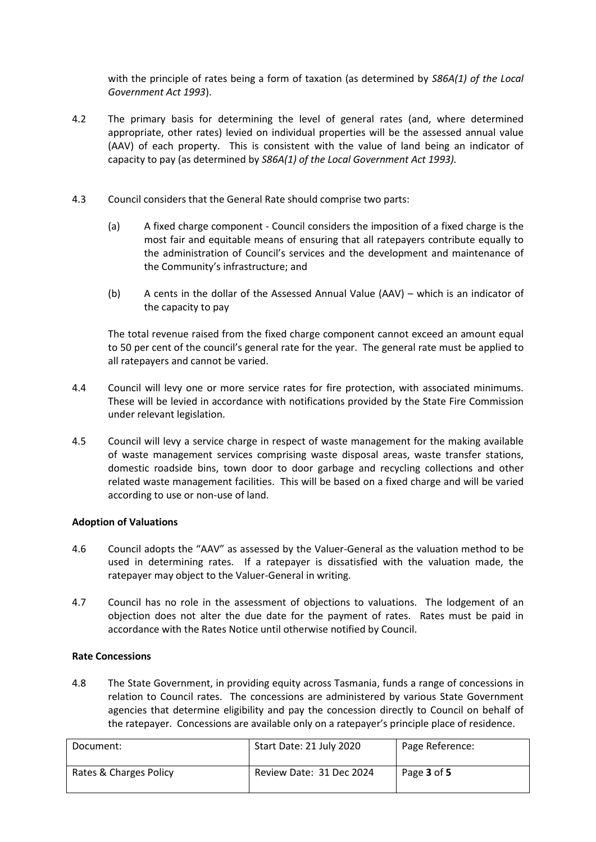with the principle of rates being a form of taxation (as determined by *S86A(1) of the Local Government Act 1993*).

- 4.2 The primary basis for determining the level of general rates (and, where determined appropriate, other rates) levied on individual properties will be the assessed annual value (AAV) of each property. This is consistent with the value of land being an indicator of capacity to pay (as determined by *S86A(1) of the Local Government Act 1993).*
- 4.3 Council considers that the General Rate should comprise two parts:
	- (a) A fixed charge component Council considers the imposition of a fixed charge is the most fair and equitable means of ensuring that all ratepayers contribute equally to the administration of Council's services and the development and maintenance of the Community's infrastructure; and
	- (b) A cents in the dollar of the Assessed Annual Value (AAV) which is an indicator of the capacity to pay

The total revenue raised from the fixed charge component cannot exceed an amount equal to 50 per cent of the council's general rate for the year. The general rate must be applied to all ratepayers and cannot be varied.

- 4.4 Council will levy one or more service rates for fire protection, with associated minimums. These will be levied in accordance with notifications provided by the State Fire Commission under relevant legislation.
- 4.5 Council will levy a service charge in respect of waste management for the making available of waste management services comprising waste disposal areas, waste transfer stations, domestic roadside bins, town door to door garbage and recycling collections and other related waste management facilities. This will be based on a fixed charge and will be varied according to use or non-use of land.

#### **Adoption of Valuations**

- 4.6 Council adopts the "AAV" as assessed by the Valuer-General as the valuation method to be used in determining rates. If a ratepayer is dissatisfied with the valuation made, the ratepayer may object to the Valuer-General in writing.
- 4.7 Council has no role in the assessment of objections to valuations. The lodgement of an objection does not alter the due date for the payment of rates. Rates must be paid in accordance with the Rates Notice until otherwise notified by Council.

#### **Rate Concessions**

4.8 The State Government, in providing equity across Tasmania, funds a range of concessions in relation to Council rates. The concessions are administered by various State Government agencies that determine eligibility and pay the concession directly to Council on behalf of the ratepayer. Concessions are available only on a ratepayer's principle place of residence.

| Document:              | Start Date: 21 July 2020 | Page Reference: |
|------------------------|--------------------------|-----------------|
| Rates & Charges Policy | Review Date: 31 Dec 2024 | Page 3 of 5     |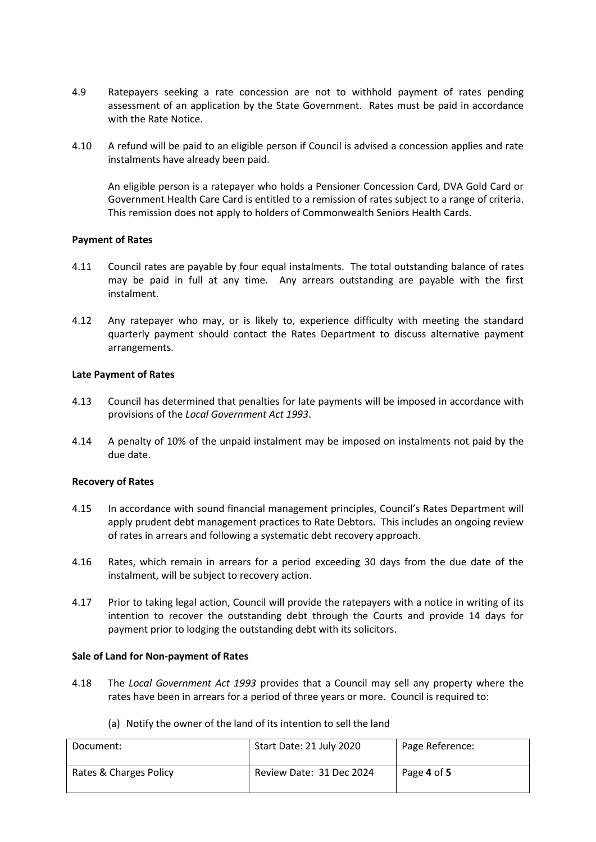- 4.9 Ratepayers seeking a rate concession are not to withhold payment of rates pending assessment of an application by the State Government. Rates must be paid in accordance with the Rate Notice.
- 4.10 A refund will be paid to an eligible person if Council is advised a concession applies and rate instalments have already been paid.

An eligible person is a ratepayer who holds a Pensioner Concession Card, DVA Gold Card or Government Health Care Card is entitled to a remission of rates subject to a range of criteria. This remission does not apply to holders of Commonwealth Seniors Health Cards.

#### **Payment of Rates**

- 4.11 Council rates are payable by four equal instalments. The total outstanding balance of rates may be paid in full at any time. Any arrears outstanding are payable with the first instalment.
- 4.12 Any ratepayer who may, or is likely to, experience difficulty with meeting the standard quarterly payment should contact the Rates Department to discuss alternative payment arrangements.

#### **Late Payment of Rates**

- 4.13 Council has determined that penalties for late payments will be imposed in accordance with provisions of the *Local Government Act 1993*.
- 4.14 A penalty of 10% of the unpaid instalment may be imposed on instalments not paid by the due date.

#### **Recovery of Rates**

- 4.15 In accordance with sound financial management principles, Council's Rates Department will apply prudent debt management practices to Rate Debtors. This includes an ongoing review of rates in arrears and following a systematic debt recovery approach.
- 4.16 Rates, which remain in arrears for a period exceeding 30 days from the due date of the instalment, will be subject to recovery action.
- 4.17 Prior to taking legal action, Council will provide the ratepayers with a notice in writing of its intention to recover the outstanding debt through the Courts and provide 14 days for payment prior to lodging the outstanding debt with its solicitors.

#### **Sale of Land for Non-payment of Rates**

4.18 The *Local Government Act 1993* provides that a Council may sell any property where the rates have been in arrears for a period of three years or more. Council is required to:

| Document:              | Start Date: 21 July 2020 | Page Reference: |
|------------------------|--------------------------|-----------------|
| Rates & Charges Policy | Review Date: 31 Dec 2024 | Page 4 of 5     |

(a) Notify the owner of the land of its intention to sell the land